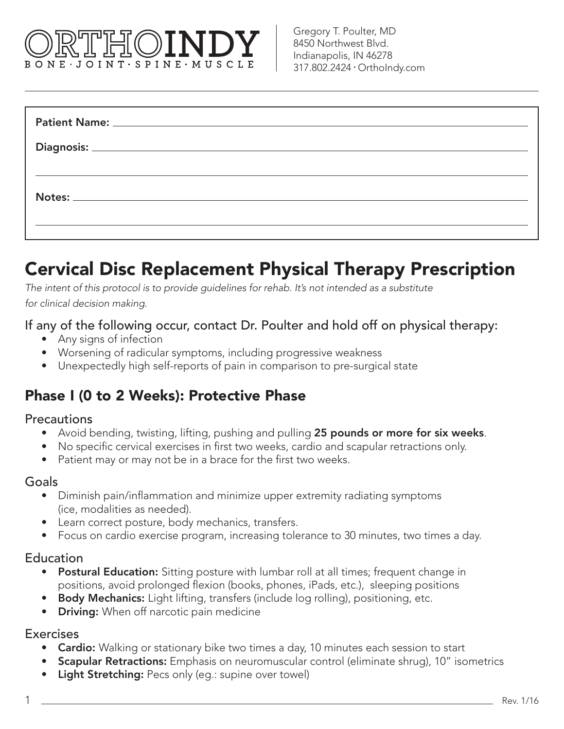# BONE JOINT SPINE MUSCLE

| <u> 1989 - Andrea Santa Andrea Andrea Andrea Andrea Andrea Andrea Andrea Andrea Andrea Andrea Andrea Andrea Andr</u> |  |
|----------------------------------------------------------------------------------------------------------------------|--|
|                                                                                                                      |  |
|                                                                                                                      |  |
|                                                                                                                      |  |
|                                                                                                                      |  |

# Cervical Disc Replacement Physical Therapy Prescription

*The intent of this protocol is to provide guidelines for rehab. It's not intended as a substitute for clinical decision making.*

If any of the following occur, contact Dr. Poulter and hold off on physical therapy:

- Any signs of infection
- Worsening of radicular symptoms, including progressive weakness
- Unexpectedly high self-reports of pain in comparison to pre-surgical state

# Phase I (0 to 2 Weeks): Protective Phase

#### **Precautions**

- Avoid bending, twisting, lifting, pushing and pulling 25 pounds or more for six weeks.
- No specific cervical exercises in first two weeks, cardio and scapular retractions only.
- Patient may or may not be in a brace for the first two weeks.

#### **Goals**

- Diminish pain/inflammation and minimize upper extremity radiating symptoms (ice, modalities as needed).
- Learn correct posture, body mechanics, transfers.
- Focus on cardio exercise program, increasing tolerance to 30 minutes, two times a day.

#### **Education**

- Postural Education: Sitting posture with lumbar roll at all times; frequent change in positions, avoid prolonged flexion (books, phones, iPads, etc.), sleeping positions
- Body Mechanics: Light lifting, transfers (include log rolling), positioning, etc.
- **Driving:** When off narcotic pain medicine

#### **Exercises**

- Cardio: Walking or stationary bike two times a day, 10 minutes each session to start
- **Scapular Retractions:** Emphasis on neuromuscular control (eliminate shrug), 10" isometrics
- Light Stretching: Pecs only (eq.: supine over towel)

1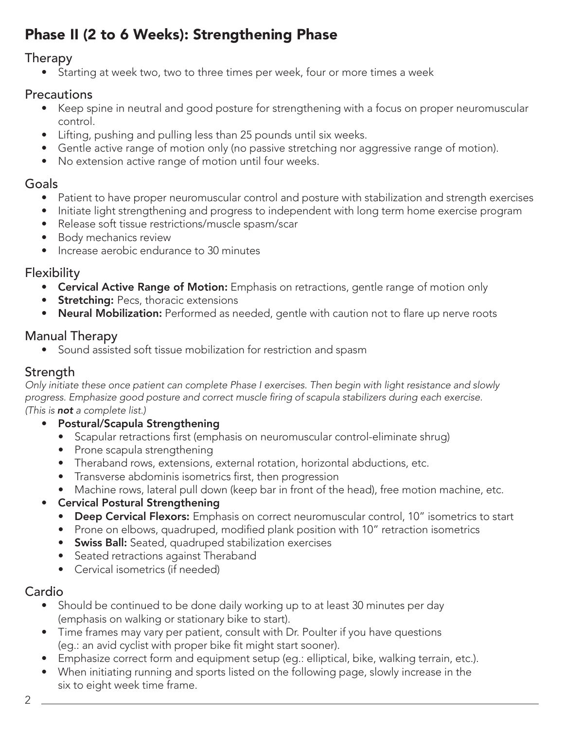# Phase II (2 to 6 Weeks): Strengthening Phase

#### Therapy

• Starting at week two, two to three times per week, four or more times a week

#### **Precautions**

- Keep spine in neutral and good posture for strengthening with a focus on proper neuromuscular control.
- Lifting, pushing and pulling less than 25 pounds until six weeks.
- Gentle active range of motion only (no passive stretching nor aggressive range of motion).
- No extension active range of motion until four weeks.

#### Goals

- Patient to have proper neuromuscular control and posture with stabilization and strength exercises
- Initiate light strengthening and progress to independent with long term home exercise program
- Release soft tissue restrictions/muscle spasm/scar
- Body mechanics review
- Increase aerobic endurance to 30 minutes

#### **Flexibility**

- Cervical Active Range of Motion: Emphasis on retractions, gentle range of motion only
- **Stretching:** Pecs, thoracic extensions
- Neural Mobilization: Performed as needed, gentle with caution not to flare up nerve roots

### Manual Therapy

• Sound assisted soft tissue mobilization for restriction and spasm

# **Strength**

*Only initiate these once patient can complete Phase I exercises. Then begin with light resistance and slowly*  progress. Emphasize good posture and correct muscle firing of scapula stabilizers during each exercise. *(This is not a complete list.)*

- Postural/Scapula Strengthening
	- Scapular retractions first (emphasis on neuromuscular control-eliminate shrug)
	- Prone scapula strengthening
	- Theraband rows, extensions, external rotation, horizontal abductions, etc.
	- Transverse abdominis isometrics first, then progression
	- Machine rows, lateral pull down (keep bar in front of the head), free motion machine, etc.

#### • Cervical Postural Strengthening

- Deep Cervical Flexors: Emphasis on correct neuromuscular control, 10" isometrics to start
- Prone on elbows, quadruped, modified plank position with 10" retraction isometrics
- Swiss Ball: Seated, quadruped stabilization exercises
- Seated retractions against Theraband
- Cervical isometrics (if needed)

## Cardio

- Should be continued to be done daily working up to at least 30 minutes per day (emphasis on walking or stationary bike to start).
- Time frames may vary per patient, consult with Dr. Poulter if you have questions (eg.: an avid cyclist with proper bike fit might start sooner).
- Emphasize correct form and equipment setup (eq.: elliptical, bike, walking terrain, etc.).
- When initiating running and sports listed on the following page, slowly increase in the six to eight week time frame.